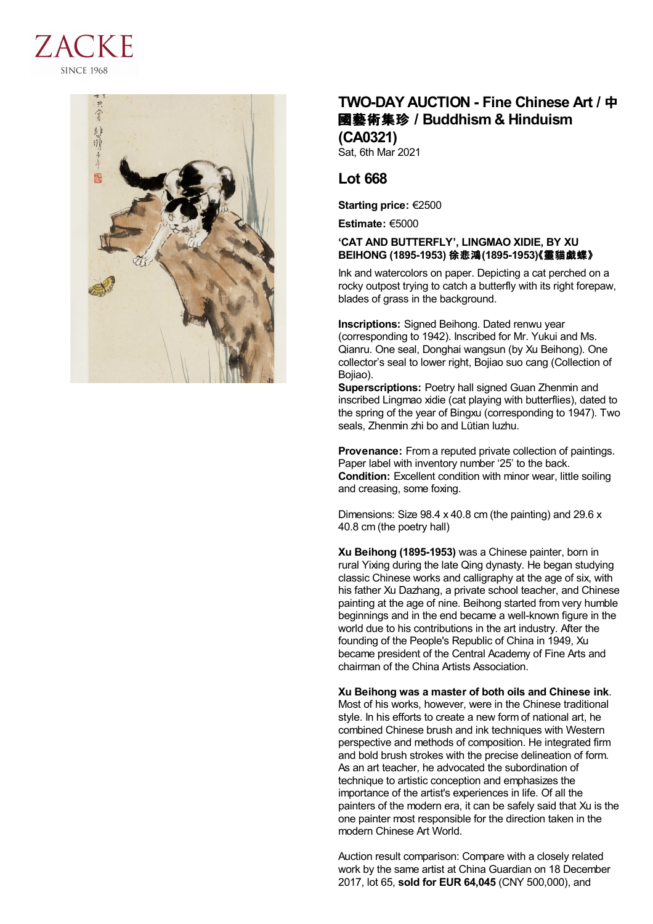



## **TWO-DAY AUCTION - Fine Chinese Art /** 中 國藝術集珍 **/Buddhism & Hinduism (CA0321)**

Sat, 6th Mar 2021

## **Lot 668**

**Starting price:** €2500

**Estimate:** €5000

## **'CAT AND BUTTERFLY', LINGMAO XIDIE, BY XU BEIHONG (1895-1953)** 徐悲鴻**(1895-1953)**《靈貓戯蝶》

Ink and watercolors on paper. Depicting a cat perched on a rocky outpost trying to catch a butterfly with its right forepaw, blades of grass in the background.

**Inscriptions:** Signed Beihong. Dated renwu year (corresponding to 1942). Inscribed for Mr. Yukui and Ms. Qianru. One seal, Donghai wangsun (by Xu Beihong). One collector's seal to lower right, Bojiao suo cang (Collection of Bojiao).

**Superscriptions:** Poetry hall signed Guan Zhenmin and inscribed Lingmao xidie (cat playing with butterflies), dated to the spring of the year of Bingxu (corresponding to 1947). Two seals, Zhenmin zhi bo and Lütian luzhu.

**Provenance:** From a reputed private collection of paintings. Paper label with inventory number '25' to the back. **Condition:** Excellent condition with minor wear, little soiling and creasing, some foxing.

Dimensions: Size 98.4 x 40.8 cm (the painting) and 29.6 x 40.8 cm (the poetry hall)

**Xu Beihong (1895-1953)** was a Chinese painter, born in rural Yixing during the late Qing dynasty. He began studying classic Chinese works and calligraphy at the age of six, with his father Xu Dazhang, a private school teacher, and Chinese painting at the age of nine. Beihong started from very humble beginnings and in the end became a well-known figure in the world due to his contributions in the art industry. After the founding of the People's Republic of China in 1949, Xu became president of the Central Academy of Fine Arts and chairman of the China Artists Association.

**Xu Beihong was a master of both oils and Chinese ink**. Most of his works, however, were in the Chinese traditional style. In his efforts to create a new form of national art, he combined Chinese brush and ink techniques with Western perspective and methods of composition. He integrated firm and bold brush strokes with the precise delineation of form. As an art teacher, he advocated the subordination of technique to artistic conception and emphasizes the importance of the artist's experiences in life. Of all the painters of the modern era, it can be safely said that Xu is the one painter most responsible for the direction taken in the modern Chinese Art World.

Auction result comparison: Compare with a closely related work by the same artist at China Guardian on 18 December 2017, lot 65, **sold for EUR 64,045** (CNY 500,000), and